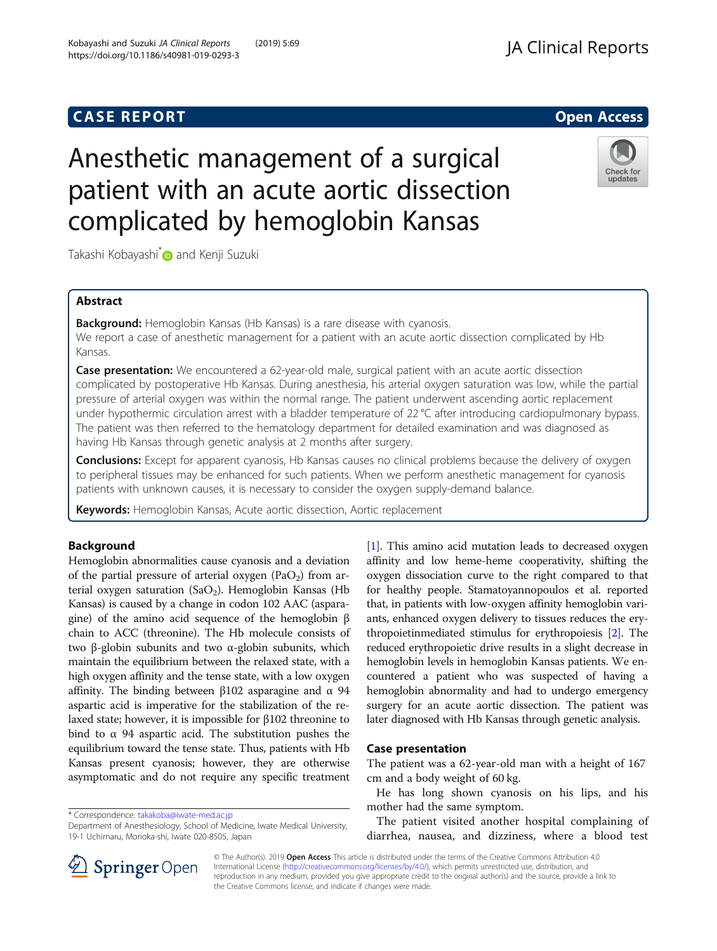## **CASE REPORT CASE REPORT**

# Anesthetic management of a surgical patient with an acute aortic dissection complicated by hemoglobin Kansas

Takashi Kobayashi D and Kenji Suzuki

## Abstract

**Background:** Hemoglobin Kansas (Hb Kansas) is a rare disease with cyanosis. We report a case of anesthetic management for a patient with an acute aortic dissection complicated by Hb Kansas.

**Case presentation:** We encountered a 62-year-old male, surgical patient with an acute aortic dissection complicated by postoperative Hb Kansas. During anesthesia, his arterial oxygen saturation was low, while the partial pressure of arterial oxygen was within the normal range. The patient underwent ascending aortic replacement under hypothermic circulation arrest with a bladder temperature of 22 °C after introducing cardiopulmonary bypass. The patient was then referred to the hematology department for detailed examination and was diagnosed as having Hb Kansas through genetic analysis at 2 months after surgery.

**Conclusions:** Except for apparent cyanosis, Hb Kansas causes no clinical problems because the delivery of oxygen to peripheral tissues may be enhanced for such patients. When we perform anesthetic management for cyanosis patients with unknown causes, it is necessary to consider the oxygen supply-demand balance.

Keywords: Hemoglobin Kansas, Acute aortic dissection, Aortic replacement

## Background

Hemoglobin abnormalities cause cyanosis and a deviation of the partial pressure of arterial oxygen  $(PaO<sub>2</sub>)$  from arterial oxygen saturation (SaO<sub>2</sub>). Hemoglobin Kansas (Hb Kansas) is caused by a change in codon 102 AAC (asparagine) of the amino acid sequence of the hemoglobin β chain to ACC (threonine). The Hb molecule consists of two β-globin subunits and two α-globin subunits, which maintain the equilibrium between the relaxed state, with a high oxygen affinity and the tense state, with a low oxygen affinity. The binding between β102 asparagine and α 94 aspartic acid is imperative for the stabilization of the relaxed state; however, it is impossible for β102 threonine to bind to α 94 aspartic acid. The substitution pushes the equilibrium toward the tense state. Thus, patients with Hb Kansas present cyanosis; however, they are otherwise asymptomatic and do not require any specific treatment

\* Correspondence: [takakoba@iwate-med.ac.jp](mailto:takakoba@iwate-med.ac.jp)

Department of Anesthesiology, School of Medicine, Iwate Medical University, 19-1 Uchimaru, Morioka-shi, Iwate 020-8505, Japan

affinity and low heme-heme cooperativity, shifting the oxygen dissociation curve to the right compared to that for healthy people. Stamatoyannopoulos et al. reported that, in patients with low-oxygen affinity hemoglobin variants, enhanced oxygen delivery to tissues reduces the erythropoietinmediated stimulus for erythropoiesis [\[2\]](#page-2-0). The reduced erythropoietic drive results in a slight decrease in hemoglobin levels in hemoglobin Kansas patients. We encountered a patient who was suspected of having a hemoglobin abnormality and had to undergo emergency surgery for an acute aortic dissection. The patient was later diagnosed with Hb Kansas through genetic analysis.

[[1\]](#page-2-0). This amino acid mutation leads to decreased oxygen

#### Case presentation

The patient was a 62-year-old man with a height of 167 cm and a body weight of 60 kg.

He has long shown cyanosis on his lips, and his mother had the same symptom.

The patient visited another hospital complaining of diarrhea, nausea, and dizziness, where a blood test

© The Author(s). 2019 Open Access This article is distributed under the terms of the Creative Commons Attribution 4.0 International License ([http://creativecommons.org/licenses/by/4.0/\)](http://creativecommons.org/licenses/by/4.0/), which permits unrestricted use, distribution, and reproduction in any medium, provided you give appropriate credit to the original author(s) and the source, provide a link to the Creative Commons license, and indicate if changes were made.

Kobayashi and Suzuki JA Clinical Reports (2019) 5:69 https://doi.org/10.1186/s40981-019-0293-3



Check for updates

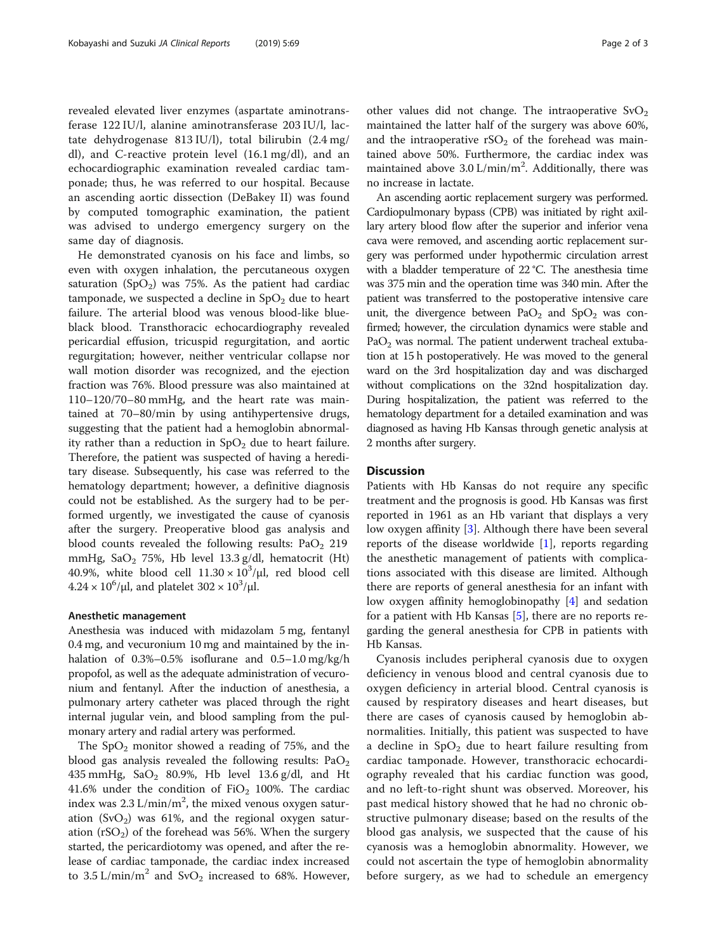revealed elevated liver enzymes (aspartate aminotransferase 122 IU/l, alanine aminotransferase 203 IU/l, lactate dehydrogenase 813 IU/l), total bilirubin (2.4 mg/ dl), and C-reactive protein level (16.1 mg/dl), and an echocardiographic examination revealed cardiac tamponade; thus, he was referred to our hospital. Because an ascending aortic dissection (DeBakey II) was found by computed tomographic examination, the patient was advised to undergo emergency surgery on the same day of diagnosis.

He demonstrated cyanosis on his face and limbs, so even with oxygen inhalation, the percutaneous oxygen saturation (SpO<sub>2</sub>) was 75%. As the patient had cardiac tamponade, we suspected a decline in  $SpO<sub>2</sub>$  due to heart failure. The arterial blood was venous blood-like blueblack blood. Transthoracic echocardiography revealed pericardial effusion, tricuspid regurgitation, and aortic regurgitation; however, neither ventricular collapse nor wall motion disorder was recognized, and the ejection fraction was 76%. Blood pressure was also maintained at 110–120/70–80 mmHg, and the heart rate was maintained at 70–80/min by using antihypertensive drugs, suggesting that the patient had a hemoglobin abnormality rather than a reduction in  $SpO<sub>2</sub>$  due to heart failure. Therefore, the patient was suspected of having a hereditary disease. Subsequently, his case was referred to the hematology department; however, a definitive diagnosis could not be established. As the surgery had to be performed urgently, we investigated the cause of cyanosis after the surgery. Preoperative blood gas analysis and blood counts revealed the following results:  $PaO<sub>2</sub>$  219 mmHg,  $SaO<sub>2</sub>$  75%, Hb level 13.3 g/dl, hematocrit (Ht) 40.9%, white blood cell  $11.30 \times 10^3/\mu$ , red blood cell  $4.24 \times 10^6$ /μl, and platelet  $302 \times 10^3$ /μl.

#### Anesthetic management

Anesthesia was induced with midazolam 5 mg, fentanyl 0.4 mg, and vecuronium 10 mg and maintained by the inhalation of 0.3%–0.5% isoflurane and 0.5–1.0 mg/kg/h propofol, as well as the adequate administration of vecuronium and fentanyl. After the induction of anesthesia, a pulmonary artery catheter was placed through the right internal jugular vein, and blood sampling from the pulmonary artery and radial artery was performed.

The  $SpO<sub>2</sub>$  monitor showed a reading of 75%, and the blood gas analysis revealed the following results:  $PaO<sub>2</sub>$ 435 mmHg,  $SaO_2$  80.9%, Hb level 13.6 g/dl, and Ht 41.6% under the condition of  $FiO<sub>2</sub>$  100%. The cardiac index was  $2.3$  L/min/m<sup>2</sup>, the mixed venous oxygen saturation  $(SvO<sub>2</sub>)$  was 61%, and the regional oxygen saturation  $(rSO<sub>2</sub>)$  of the forehead was 56%. When the surgery started, the pericardiotomy was opened, and after the release of cardiac tamponade, the cardiac index increased to  $3.5 \text{ L/min/m}^2$  and  $\text{SvO}_2$  increased to 68%. However,

other values did not change. The intraoperative  $SvO<sub>2</sub>$ maintained the latter half of the surgery was above 60%, and the intraoperative  $rSO<sub>2</sub>$  of the forehead was maintained above 50%. Furthermore, the cardiac index was maintained above  $3.0 \text{ L/min/m}^2$ . Additionally, there was no increase in lactate.

An ascending aortic replacement surgery was performed. Cardiopulmonary bypass (CPB) was initiated by right axillary artery blood flow after the superior and inferior vena cava were removed, and ascending aortic replacement surgery was performed under hypothermic circulation arrest with a bladder temperature of 22 °C. The anesthesia time was 375 min and the operation time was 340 min. After the patient was transferred to the postoperative intensive care unit, the divergence between  $PaO<sub>2</sub>$  and  $SpO<sub>2</sub>$  was confirmed; however, the circulation dynamics were stable and  $PaO<sub>2</sub>$  was normal. The patient underwent tracheal extubation at 15 h postoperatively. He was moved to the general ward on the 3rd hospitalization day and was discharged without complications on the 32nd hospitalization day. During hospitalization, the patient was referred to the hematology department for a detailed examination and was diagnosed as having Hb Kansas through genetic analysis at 2 months after surgery.

### **Discussion**

Patients with Hb Kansas do not require any specific treatment and the prognosis is good. Hb Kansas was first reported in 1961 as an Hb variant that displays a very low oxygen affinity [\[3](#page-2-0)]. Although there have been several reports of the disease worldwide [\[1](#page-2-0)], reports regarding the anesthetic management of patients with complications associated with this disease are limited. Although there are reports of general anesthesia for an infant with low oxygen affinity hemoglobinopathy [[4\]](#page-2-0) and sedation for a patient with Hb Kansas [[5\]](#page-2-0), there are no reports regarding the general anesthesia for CPB in patients with Hb Kansas.

Cyanosis includes peripheral cyanosis due to oxygen deficiency in venous blood and central cyanosis due to oxygen deficiency in arterial blood. Central cyanosis is caused by respiratory diseases and heart diseases, but there are cases of cyanosis caused by hemoglobin abnormalities. Initially, this patient was suspected to have a decline in  $SpO<sub>2</sub>$  due to heart failure resulting from cardiac tamponade. However, transthoracic echocardiography revealed that his cardiac function was good, and no left-to-right shunt was observed. Moreover, his past medical history showed that he had no chronic obstructive pulmonary disease; based on the results of the blood gas analysis, we suspected that the cause of his cyanosis was a hemoglobin abnormality. However, we could not ascertain the type of hemoglobin abnormality before surgery, as we had to schedule an emergency